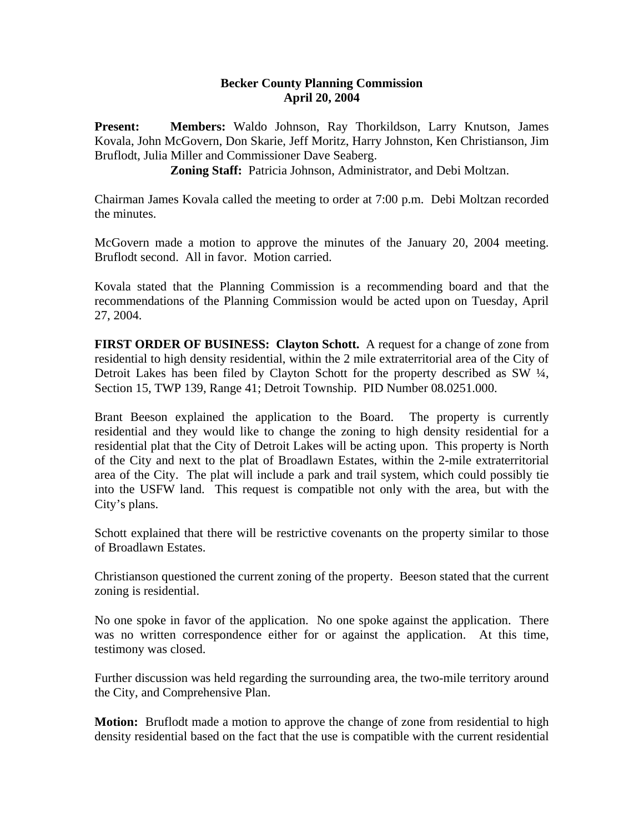## **Becker County Planning Commission April 20, 2004**

**Present: Members:** Waldo Johnson, Ray Thorkildson, Larry Knutson, James Kovala, John McGovern, Don Skarie, Jeff Moritz, Harry Johnston, Ken Christianson, Jim Bruflodt, Julia Miller and Commissioner Dave Seaberg.

**Zoning Staff:** Patricia Johnson, Administrator, and Debi Moltzan.

Chairman James Kovala called the meeting to order at 7:00 p.m. Debi Moltzan recorded the minutes.

McGovern made a motion to approve the minutes of the January 20, 2004 meeting. Bruflodt second. All in favor. Motion carried.

Kovala stated that the Planning Commission is a recommending board and that the recommendations of the Planning Commission would be acted upon on Tuesday, April 27, 2004.

**FIRST ORDER OF BUSINESS: Clayton Schott.** A request for a change of zone from residential to high density residential, within the 2 mile extraterritorial area of the City of Detroit Lakes has been filed by Clayton Schott for the property described as SW ¼, Section 15, TWP 139, Range 41; Detroit Township. PID Number 08.0251.000.

Brant Beeson explained the application to the Board. The property is currently residential and they would like to change the zoning to high density residential for a residential plat that the City of Detroit Lakes will be acting upon. This property is North of the City and next to the plat of Broadlawn Estates, within the 2-mile extraterritorial area of the City. The plat will include a park and trail system, which could possibly tie into the USFW land. This request is compatible not only with the area, but with the City's plans.

Schott explained that there will be restrictive covenants on the property similar to those of Broadlawn Estates.

Christianson questioned the current zoning of the property. Beeson stated that the current zoning is residential.

No one spoke in favor of the application. No one spoke against the application. There was no written correspondence either for or against the application. At this time, testimony was closed.

Further discussion was held regarding the surrounding area, the two-mile territory around the City, and Comprehensive Plan.

**Motion:** Bruflodt made a motion to approve the change of zone from residential to high density residential based on the fact that the use is compatible with the current residential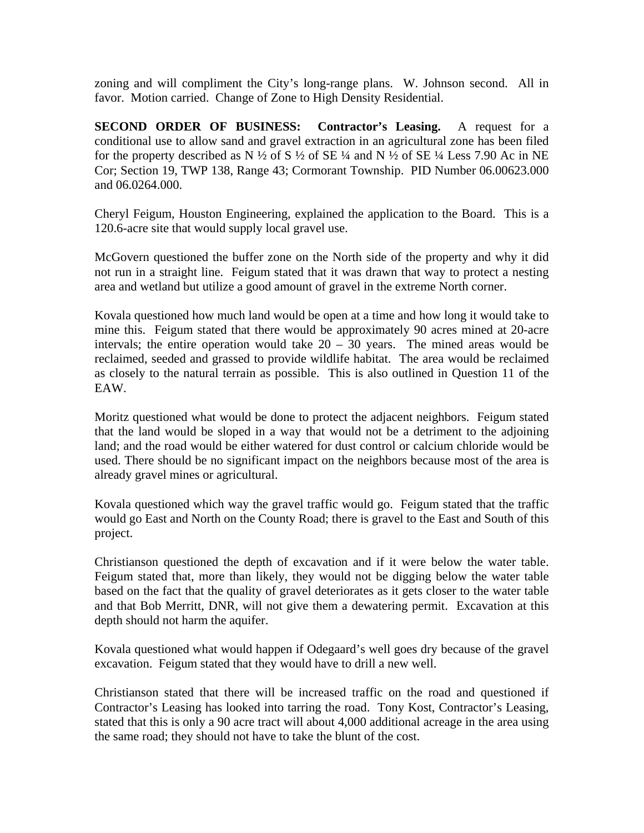zoning and will compliment the City's long-range plans. W. Johnson second. All in favor. Motion carried. Change of Zone to High Density Residential.

**SECOND ORDER OF BUSINESS: Contractor's Leasing.** A request for a conditional use to allow sand and gravel extraction in an agricultural zone has been filed for the property described as N  $\frac{1}{2}$  of S  $\frac{1}{2}$  of SE  $\frac{1}{4}$  and N  $\frac{1}{2}$  of SE  $\frac{1}{4}$  Less 7.90 Ac in NE Cor; Section 19, TWP 138, Range 43; Cormorant Township. PID Number 06.00623.000 and 06.0264.000.

Cheryl Feigum, Houston Engineering, explained the application to the Board. This is a 120.6-acre site that would supply local gravel use.

McGovern questioned the buffer zone on the North side of the property and why it did not run in a straight line. Feigum stated that it was drawn that way to protect a nesting area and wetland but utilize a good amount of gravel in the extreme North corner.

Kovala questioned how much land would be open at a time and how long it would take to mine this. Feigum stated that there would be approximately 90 acres mined at 20-acre intervals; the entire operation would take  $20 - 30$  years. The mined areas would be reclaimed, seeded and grassed to provide wildlife habitat. The area would be reclaimed as closely to the natural terrain as possible. This is also outlined in Question 11 of the EAW.

Moritz questioned what would be done to protect the adjacent neighbors. Feigum stated that the land would be sloped in a way that would not be a detriment to the adjoining land; and the road would be either watered for dust control or calcium chloride would be used. There should be no significant impact on the neighbors because most of the area is already gravel mines or agricultural.

Kovala questioned which way the gravel traffic would go. Feigum stated that the traffic would go East and North on the County Road; there is gravel to the East and South of this project.

Christianson questioned the depth of excavation and if it were below the water table. Feigum stated that, more than likely, they would not be digging below the water table based on the fact that the quality of gravel deteriorates as it gets closer to the water table and that Bob Merritt, DNR, will not give them a dewatering permit. Excavation at this depth should not harm the aquifer.

Kovala questioned what would happen if Odegaard's well goes dry because of the gravel excavation. Feigum stated that they would have to drill a new well.

Christianson stated that there will be increased traffic on the road and questioned if Contractor's Leasing has looked into tarring the road. Tony Kost, Contractor's Leasing, stated that this is only a 90 acre tract will about 4,000 additional acreage in the area using the same road; they should not have to take the blunt of the cost.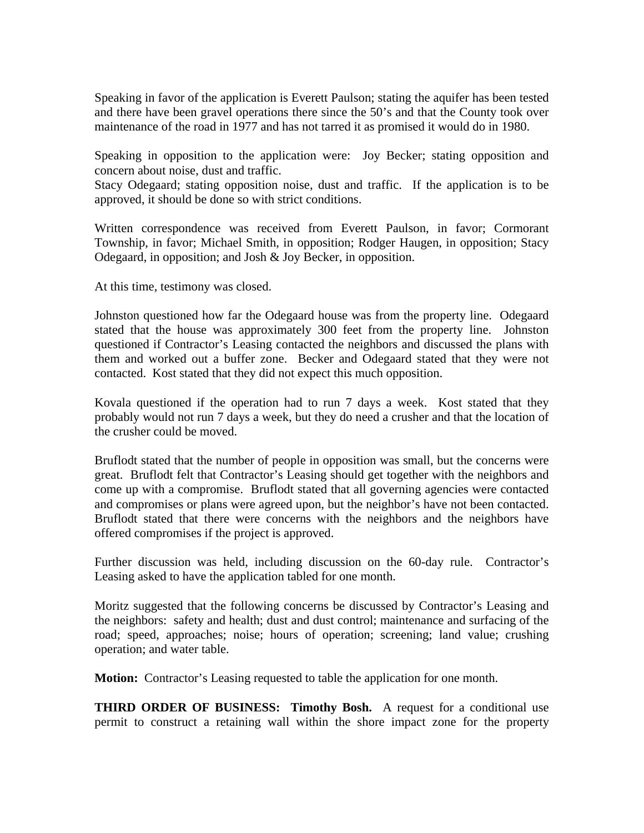Speaking in favor of the application is Everett Paulson; stating the aquifer has been tested and there have been gravel operations there since the 50's and that the County took over maintenance of the road in 1977 and has not tarred it as promised it would do in 1980.

Speaking in opposition to the application were: Joy Becker; stating opposition and concern about noise, dust and traffic.

Stacy Odegaard; stating opposition noise, dust and traffic. If the application is to be approved, it should be done so with strict conditions.

Written correspondence was received from Everett Paulson, in favor; Cormorant Township, in favor; Michael Smith, in opposition; Rodger Haugen, in opposition; Stacy Odegaard, in opposition; and Josh & Joy Becker, in opposition.

At this time, testimony was closed.

Johnston questioned how far the Odegaard house was from the property line. Odegaard stated that the house was approximately 300 feet from the property line. Johnston questioned if Contractor's Leasing contacted the neighbors and discussed the plans with them and worked out a buffer zone. Becker and Odegaard stated that they were not contacted. Kost stated that they did not expect this much opposition.

Kovala questioned if the operation had to run 7 days a week. Kost stated that they probably would not run 7 days a week, but they do need a crusher and that the location of the crusher could be moved.

Bruflodt stated that the number of people in opposition was small, but the concerns were great. Bruflodt felt that Contractor's Leasing should get together with the neighbors and come up with a compromise. Bruflodt stated that all governing agencies were contacted and compromises or plans were agreed upon, but the neighbor's have not been contacted. Bruflodt stated that there were concerns with the neighbors and the neighbors have offered compromises if the project is approved.

Further discussion was held, including discussion on the 60-day rule. Contractor's Leasing asked to have the application tabled for one month.

Moritz suggested that the following concerns be discussed by Contractor's Leasing and the neighbors: safety and health; dust and dust control; maintenance and surfacing of the road; speed, approaches; noise; hours of operation; screening; land value; crushing operation; and water table.

**Motion:** Contractor's Leasing requested to table the application for one month.

**THIRD ORDER OF BUSINESS: Timothy Bosh.** A request for a conditional use permit to construct a retaining wall within the shore impact zone for the property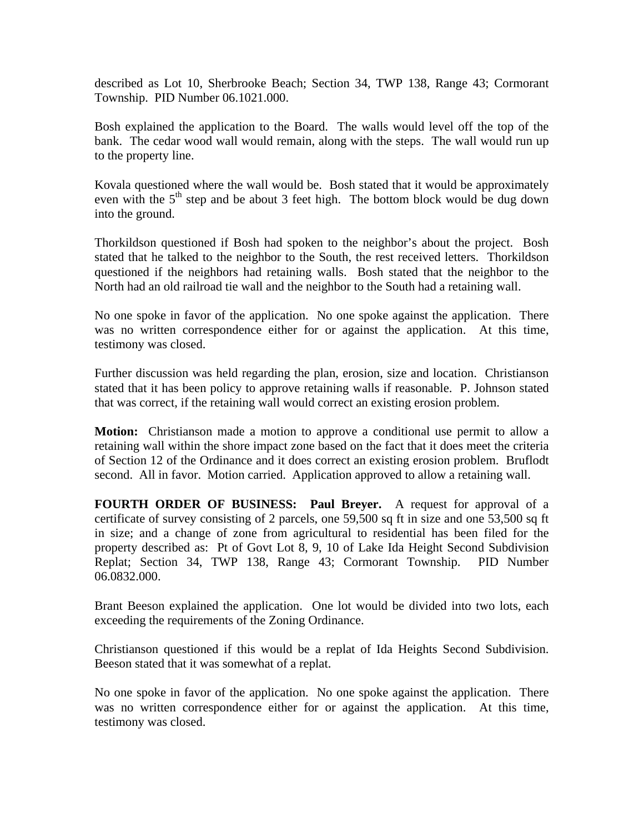described as Lot 10, Sherbrooke Beach; Section 34, TWP 138, Range 43; Cormorant Township. PID Number 06.1021.000.

Bosh explained the application to the Board. The walls would level off the top of the bank. The cedar wood wall would remain, along with the steps. The wall would run up to the property line.

Kovala questioned where the wall would be. Bosh stated that it would be approximately even with the  $5<sup>th</sup>$  step and be about 3 feet high. The bottom block would be dug down into the ground.

Thorkildson questioned if Bosh had spoken to the neighbor's about the project. Bosh stated that he talked to the neighbor to the South, the rest received letters. Thorkildson questioned if the neighbors had retaining walls. Bosh stated that the neighbor to the North had an old railroad tie wall and the neighbor to the South had a retaining wall.

No one spoke in favor of the application. No one spoke against the application. There was no written correspondence either for or against the application. At this time, testimony was closed.

Further discussion was held regarding the plan, erosion, size and location. Christianson stated that it has been policy to approve retaining walls if reasonable. P. Johnson stated that was correct, if the retaining wall would correct an existing erosion problem.

**Motion:** Christianson made a motion to approve a conditional use permit to allow a retaining wall within the shore impact zone based on the fact that it does meet the criteria of Section 12 of the Ordinance and it does correct an existing erosion problem. Bruflodt second. All in favor. Motion carried. Application approved to allow a retaining wall.

**FOURTH ORDER OF BUSINESS: Paul Breyer.** A request for approval of a certificate of survey consisting of 2 parcels, one 59,500 sq ft in size and one 53,500 sq ft in size; and a change of zone from agricultural to residential has been filed for the property described as: Pt of Govt Lot 8, 9, 10 of Lake Ida Height Second Subdivision Replat; Section 34, TWP 138, Range 43; Cormorant Township. PID Number 06.0832.000.

Brant Beeson explained the application. One lot would be divided into two lots, each exceeding the requirements of the Zoning Ordinance.

Christianson questioned if this would be a replat of Ida Heights Second Subdivision. Beeson stated that it was somewhat of a replat.

No one spoke in favor of the application. No one spoke against the application. There was no written correspondence either for or against the application. At this time, testimony was closed.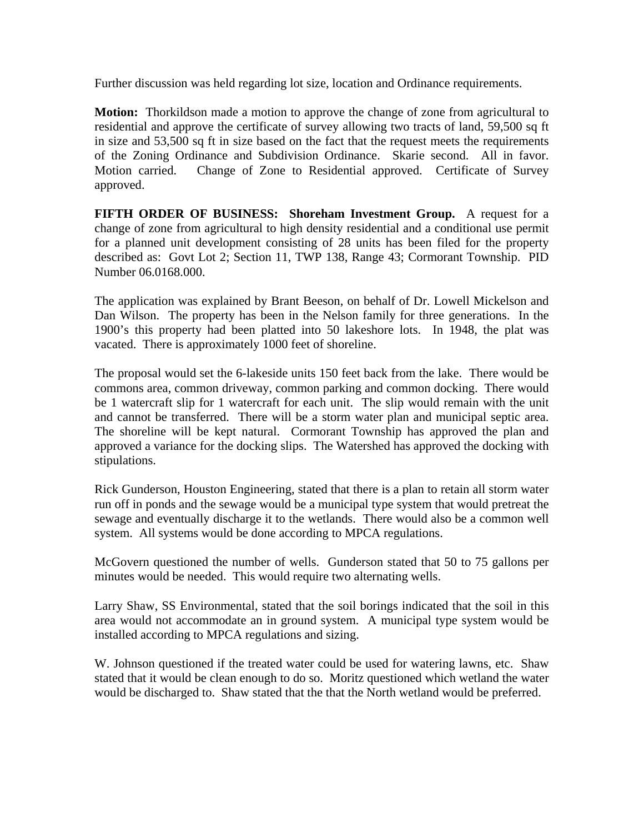Further discussion was held regarding lot size, location and Ordinance requirements.

**Motion:** Thorkildson made a motion to approve the change of zone from agricultural to residential and approve the certificate of survey allowing two tracts of land, 59,500 sq ft in size and 53,500 sq ft in size based on the fact that the request meets the requirements of the Zoning Ordinance and Subdivision Ordinance. Skarie second. All in favor. Motion carried. Change of Zone to Residential approved. Certificate of Survey approved.

**FIFTH ORDER OF BUSINESS: Shoreham Investment Group.** A request for a change of zone from agricultural to high density residential and a conditional use permit for a planned unit development consisting of 28 units has been filed for the property described as: Govt Lot 2; Section 11, TWP 138, Range 43; Cormorant Township. PID Number 06.0168.000.

The application was explained by Brant Beeson, on behalf of Dr. Lowell Mickelson and Dan Wilson. The property has been in the Nelson family for three generations. In the 1900's this property had been platted into 50 lakeshore lots. In 1948, the plat was vacated. There is approximately 1000 feet of shoreline.

The proposal would set the 6-lakeside units 150 feet back from the lake. There would be commons area, common driveway, common parking and common docking. There would be 1 watercraft slip for 1 watercraft for each unit. The slip would remain with the unit and cannot be transferred. There will be a storm water plan and municipal septic area. The shoreline will be kept natural. Cormorant Township has approved the plan and approved a variance for the docking slips. The Watershed has approved the docking with stipulations.

Rick Gunderson, Houston Engineering, stated that there is a plan to retain all storm water run off in ponds and the sewage would be a municipal type system that would pretreat the sewage and eventually discharge it to the wetlands. There would also be a common well system. All systems would be done according to MPCA regulations.

McGovern questioned the number of wells. Gunderson stated that 50 to 75 gallons per minutes would be needed. This would require two alternating wells.

Larry Shaw, SS Environmental, stated that the soil borings indicated that the soil in this area would not accommodate an in ground system. A municipal type system would be installed according to MPCA regulations and sizing.

W. Johnson questioned if the treated water could be used for watering lawns, etc. Shaw stated that it would be clean enough to do so. Moritz questioned which wetland the water would be discharged to. Shaw stated that the that the North wetland would be preferred.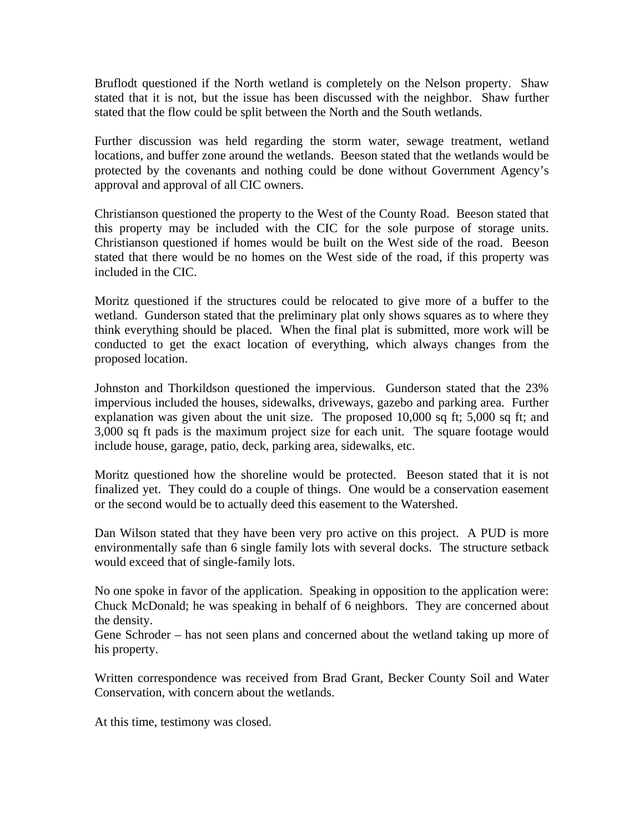Bruflodt questioned if the North wetland is completely on the Nelson property. Shaw stated that it is not, but the issue has been discussed with the neighbor. Shaw further stated that the flow could be split between the North and the South wetlands.

Further discussion was held regarding the storm water, sewage treatment, wetland locations, and buffer zone around the wetlands. Beeson stated that the wetlands would be protected by the covenants and nothing could be done without Government Agency's approval and approval of all CIC owners.

Christianson questioned the property to the West of the County Road. Beeson stated that this property may be included with the CIC for the sole purpose of storage units. Christianson questioned if homes would be built on the West side of the road. Beeson stated that there would be no homes on the West side of the road, if this property was included in the CIC.

Moritz questioned if the structures could be relocated to give more of a buffer to the wetland. Gunderson stated that the preliminary plat only shows squares as to where they think everything should be placed. When the final plat is submitted, more work will be conducted to get the exact location of everything, which always changes from the proposed location.

Johnston and Thorkildson questioned the impervious. Gunderson stated that the 23% impervious included the houses, sidewalks, driveways, gazebo and parking area. Further explanation was given about the unit size. The proposed 10,000 sq ft; 5,000 sq ft; and 3,000 sq ft pads is the maximum project size for each unit. The square footage would include house, garage, patio, deck, parking area, sidewalks, etc.

Moritz questioned how the shoreline would be protected. Beeson stated that it is not finalized yet. They could do a couple of things. One would be a conservation easement or the second would be to actually deed this easement to the Watershed.

Dan Wilson stated that they have been very pro active on this project. A PUD is more environmentally safe than 6 single family lots with several docks. The structure setback would exceed that of single-family lots.

No one spoke in favor of the application. Speaking in opposition to the application were: Chuck McDonald; he was speaking in behalf of 6 neighbors. They are concerned about the density.

Gene Schroder – has not seen plans and concerned about the wetland taking up more of his property.

Written correspondence was received from Brad Grant, Becker County Soil and Water Conservation, with concern about the wetlands.

At this time, testimony was closed.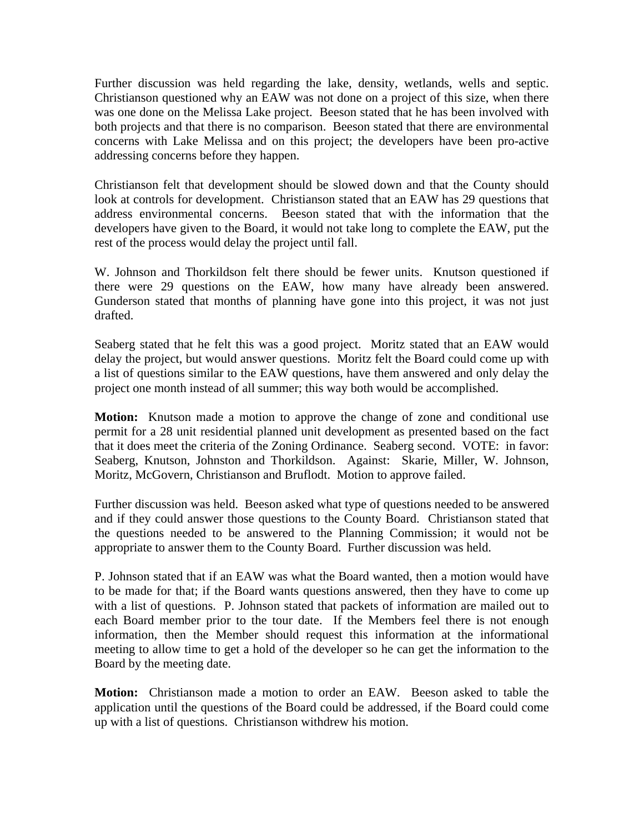Further discussion was held regarding the lake, density, wetlands, wells and septic. Christianson questioned why an EAW was not done on a project of this size, when there was one done on the Melissa Lake project. Beeson stated that he has been involved with both projects and that there is no comparison. Beeson stated that there are environmental concerns with Lake Melissa and on this project; the developers have been pro-active addressing concerns before they happen.

Christianson felt that development should be slowed down and that the County should look at controls for development. Christianson stated that an EAW has 29 questions that address environmental concerns. Beeson stated that with the information that the developers have given to the Board, it would not take long to complete the EAW, put the rest of the process would delay the project until fall.

W. Johnson and Thorkildson felt there should be fewer units. Knutson questioned if there were 29 questions on the EAW, how many have already been answered. Gunderson stated that months of planning have gone into this project, it was not just drafted.

Seaberg stated that he felt this was a good project. Moritz stated that an EAW would delay the project, but would answer questions. Moritz felt the Board could come up with a list of questions similar to the EAW questions, have them answered and only delay the project one month instead of all summer; this way both would be accomplished.

**Motion:** Knutson made a motion to approve the change of zone and conditional use permit for a 28 unit residential planned unit development as presented based on the fact that it does meet the criteria of the Zoning Ordinance. Seaberg second. VOTE: in favor: Seaberg, Knutson, Johnston and Thorkildson. Against: Skarie, Miller, W. Johnson, Moritz, McGovern, Christianson and Bruflodt. Motion to approve failed.

Further discussion was held. Beeson asked what type of questions needed to be answered and if they could answer those questions to the County Board. Christianson stated that the questions needed to be answered to the Planning Commission; it would not be appropriate to answer them to the County Board. Further discussion was held.

P. Johnson stated that if an EAW was what the Board wanted, then a motion would have to be made for that; if the Board wants questions answered, then they have to come up with a list of questions. P. Johnson stated that packets of information are mailed out to each Board member prior to the tour date. If the Members feel there is not enough information, then the Member should request this information at the informational meeting to allow time to get a hold of the developer so he can get the information to the Board by the meeting date.

**Motion:** Christianson made a motion to order an EAW. Beeson asked to table the application until the questions of the Board could be addressed, if the Board could come up with a list of questions. Christianson withdrew his motion.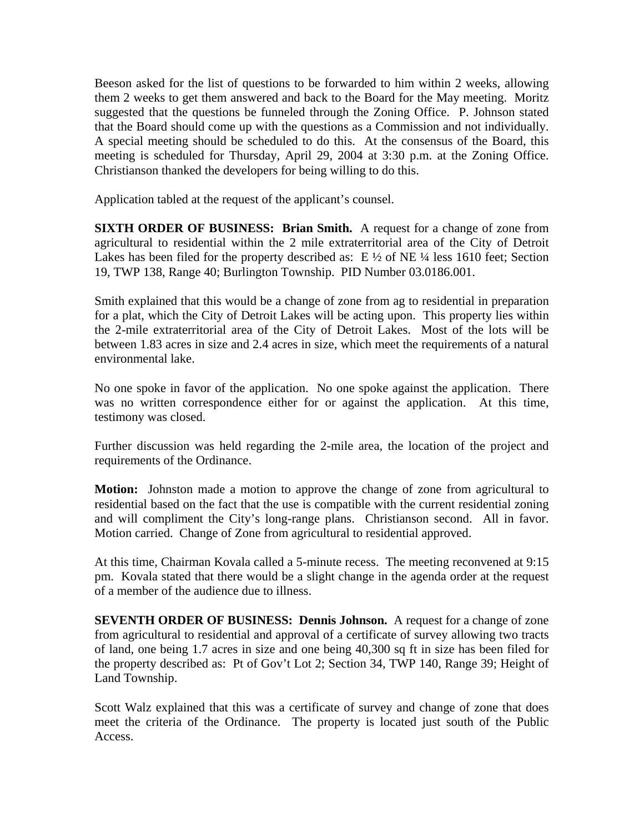Beeson asked for the list of questions to be forwarded to him within 2 weeks, allowing them 2 weeks to get them answered and back to the Board for the May meeting. Moritz suggested that the questions be funneled through the Zoning Office. P. Johnson stated that the Board should come up with the questions as a Commission and not individually. A special meeting should be scheduled to do this. At the consensus of the Board, this meeting is scheduled for Thursday, April 29, 2004 at 3:30 p.m. at the Zoning Office. Christianson thanked the developers for being willing to do this.

Application tabled at the request of the applicant's counsel.

**SIXTH ORDER OF BUSINESS: Brian Smith.** A request for a change of zone from agricultural to residential within the 2 mile extraterritorial area of the City of Detroit Lakes has been filed for the property described as:  $E\frac{1}{2}$  of NE  $\frac{1}{4}$  less 1610 feet; Section 19, TWP 138, Range 40; Burlington Township. PID Number 03.0186.001.

Smith explained that this would be a change of zone from ag to residential in preparation for a plat, which the City of Detroit Lakes will be acting upon. This property lies within the 2-mile extraterritorial area of the City of Detroit Lakes. Most of the lots will be between 1.83 acres in size and 2.4 acres in size, which meet the requirements of a natural environmental lake.

No one spoke in favor of the application. No one spoke against the application. There was no written correspondence either for or against the application. At this time, testimony was closed.

Further discussion was held regarding the 2-mile area, the location of the project and requirements of the Ordinance.

**Motion:** Johnston made a motion to approve the change of zone from agricultural to residential based on the fact that the use is compatible with the current residential zoning and will compliment the City's long-range plans. Christianson second. All in favor. Motion carried. Change of Zone from agricultural to residential approved.

At this time, Chairman Kovala called a 5-minute recess. The meeting reconvened at 9:15 pm. Kovala stated that there would be a slight change in the agenda order at the request of a member of the audience due to illness.

**SEVENTH ORDER OF BUSINESS: Dennis Johnson.** A request for a change of zone from agricultural to residential and approval of a certificate of survey allowing two tracts of land, one being 1.7 acres in size and one being 40,300 sq ft in size has been filed for the property described as: Pt of Gov't Lot 2; Section 34, TWP 140, Range 39; Height of Land Township.

Scott Walz explained that this was a certificate of survey and change of zone that does meet the criteria of the Ordinance. The property is located just south of the Public Access.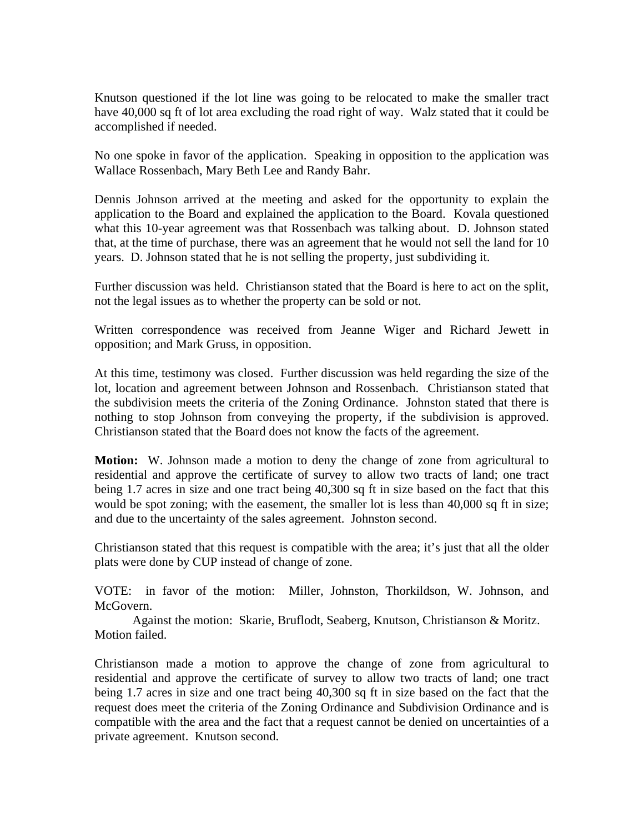Knutson questioned if the lot line was going to be relocated to make the smaller tract have 40,000 sq ft of lot area excluding the road right of way. Walz stated that it could be accomplished if needed.

No one spoke in favor of the application. Speaking in opposition to the application was Wallace Rossenbach, Mary Beth Lee and Randy Bahr.

Dennis Johnson arrived at the meeting and asked for the opportunity to explain the application to the Board and explained the application to the Board. Kovala questioned what this 10-year agreement was that Rossenbach was talking about. D. Johnson stated that, at the time of purchase, there was an agreement that he would not sell the land for 10 years. D. Johnson stated that he is not selling the property, just subdividing it.

Further discussion was held. Christianson stated that the Board is here to act on the split, not the legal issues as to whether the property can be sold or not.

Written correspondence was received from Jeanne Wiger and Richard Jewett in opposition; and Mark Gruss, in opposition.

At this time, testimony was closed. Further discussion was held regarding the size of the lot, location and agreement between Johnson and Rossenbach. Christianson stated that the subdivision meets the criteria of the Zoning Ordinance. Johnston stated that there is nothing to stop Johnson from conveying the property, if the subdivision is approved. Christianson stated that the Board does not know the facts of the agreement.

**Motion:** W. Johnson made a motion to deny the change of zone from agricultural to residential and approve the certificate of survey to allow two tracts of land; one tract being 1.7 acres in size and one tract being 40,300 sq ft in size based on the fact that this would be spot zoning; with the easement, the smaller lot is less than 40,000 sq ft in size; and due to the uncertainty of the sales agreement. Johnston second.

Christianson stated that this request is compatible with the area; it's just that all the older plats were done by CUP instead of change of zone.

VOTE: in favor of the motion: Miller, Johnston, Thorkildson, W. Johnson, and McGovern.

 Against the motion: Skarie, Bruflodt, Seaberg, Knutson, Christianson & Moritz. Motion failed.

Christianson made a motion to approve the change of zone from agricultural to residential and approve the certificate of survey to allow two tracts of land; one tract being 1.7 acres in size and one tract being 40,300 sq ft in size based on the fact that the request does meet the criteria of the Zoning Ordinance and Subdivision Ordinance and is compatible with the area and the fact that a request cannot be denied on uncertainties of a private agreement. Knutson second.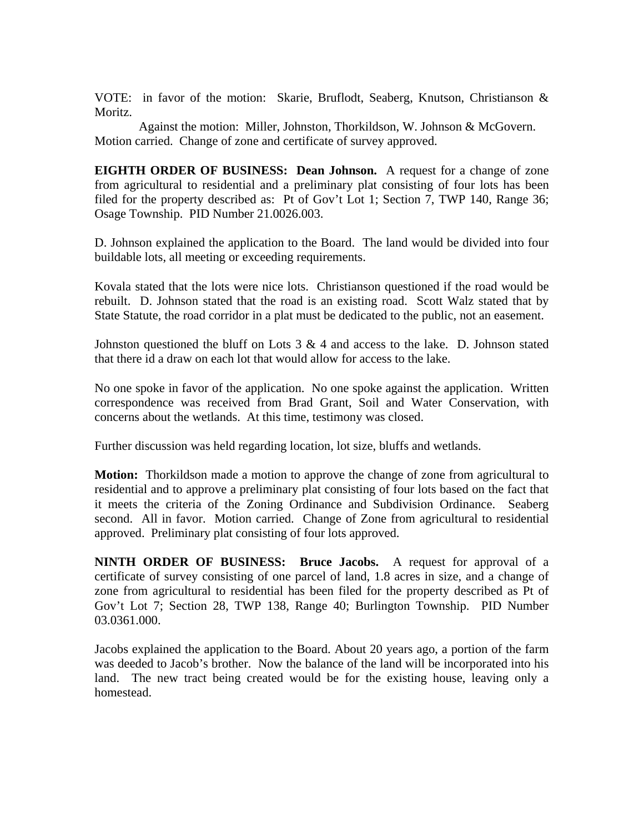VOTE: in favor of the motion: Skarie, Bruflodt, Seaberg, Knutson, Christianson & Moritz.

 Against the motion: Miller, Johnston, Thorkildson, W. Johnson & McGovern. Motion carried. Change of zone and certificate of survey approved.

**EIGHTH ORDER OF BUSINESS: Dean Johnson.** A request for a change of zone from agricultural to residential and a preliminary plat consisting of four lots has been filed for the property described as: Pt of Gov't Lot 1; Section 7, TWP 140, Range 36; Osage Township. PID Number 21.0026.003.

D. Johnson explained the application to the Board. The land would be divided into four buildable lots, all meeting or exceeding requirements.

Kovala stated that the lots were nice lots. Christianson questioned if the road would be rebuilt. D. Johnson stated that the road is an existing road. Scott Walz stated that by State Statute, the road corridor in a plat must be dedicated to the public, not an easement.

Johnston questioned the bluff on Lots  $3 \& 4$  and access to the lake. D. Johnson stated that there id a draw on each lot that would allow for access to the lake.

No one spoke in favor of the application. No one spoke against the application. Written correspondence was received from Brad Grant, Soil and Water Conservation, with concerns about the wetlands. At this time, testimony was closed.

Further discussion was held regarding location, lot size, bluffs and wetlands.

**Motion:** Thorkildson made a motion to approve the change of zone from agricultural to residential and to approve a preliminary plat consisting of four lots based on the fact that it meets the criteria of the Zoning Ordinance and Subdivision Ordinance. Seaberg second. All in favor. Motion carried. Change of Zone from agricultural to residential approved. Preliminary plat consisting of four lots approved.

**NINTH ORDER OF BUSINESS: Bruce Jacobs.** A request for approval of a certificate of survey consisting of one parcel of land, 1.8 acres in size, and a change of zone from agricultural to residential has been filed for the property described as Pt of Gov't Lot 7; Section 28, TWP 138, Range 40; Burlington Township. PID Number 03.0361.000.

Jacobs explained the application to the Board. About 20 years ago, a portion of the farm was deeded to Jacob's brother. Now the balance of the land will be incorporated into his land. The new tract being created would be for the existing house, leaving only a homestead.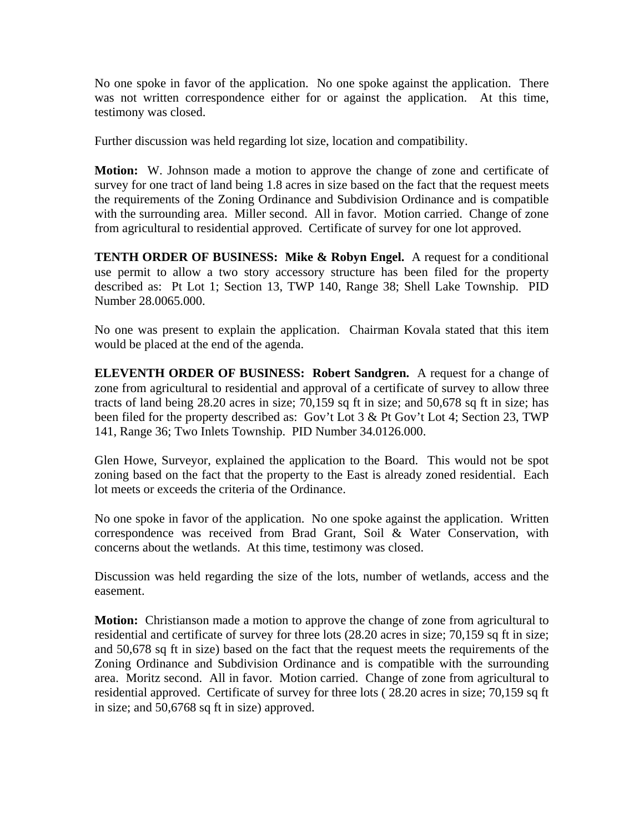No one spoke in favor of the application. No one spoke against the application. There was not written correspondence either for or against the application. At this time, testimony was closed.

Further discussion was held regarding lot size, location and compatibility.

**Motion:** W. Johnson made a motion to approve the change of zone and certificate of survey for one tract of land being 1.8 acres in size based on the fact that the request meets the requirements of the Zoning Ordinance and Subdivision Ordinance and is compatible with the surrounding area. Miller second. All in favor. Motion carried. Change of zone from agricultural to residential approved. Certificate of survey for one lot approved.

**TENTH ORDER OF BUSINESS: Mike & Robyn Engel.** A request for a conditional use permit to allow a two story accessory structure has been filed for the property described as: Pt Lot 1; Section 13, TWP 140, Range 38; Shell Lake Township. PID Number 28.0065.000.

No one was present to explain the application. Chairman Kovala stated that this item would be placed at the end of the agenda.

**ELEVENTH ORDER OF BUSINESS: Robert Sandgren.** A request for a change of zone from agricultural to residential and approval of a certificate of survey to allow three tracts of land being 28.20 acres in size; 70,159 sq ft in size; and 50,678 sq ft in size; has been filed for the property described as: Gov't Lot 3 & Pt Gov't Lot 4; Section 23, TWP 141, Range 36; Two Inlets Township. PID Number 34.0126.000.

Glen Howe, Surveyor, explained the application to the Board. This would not be spot zoning based on the fact that the property to the East is already zoned residential. Each lot meets or exceeds the criteria of the Ordinance.

No one spoke in favor of the application. No one spoke against the application. Written correspondence was received from Brad Grant, Soil & Water Conservation, with concerns about the wetlands. At this time, testimony was closed.

Discussion was held regarding the size of the lots, number of wetlands, access and the easement.

**Motion:** Christianson made a motion to approve the change of zone from agricultural to residential and certificate of survey for three lots (28.20 acres in size; 70,159 sq ft in size; and 50,678 sq ft in size) based on the fact that the request meets the requirements of the Zoning Ordinance and Subdivision Ordinance and is compatible with the surrounding area. Moritz second. All in favor. Motion carried. Change of zone from agricultural to residential approved. Certificate of survey for three lots ( 28.20 acres in size; 70,159 sq ft in size; and 50,6768 sq ft in size) approved.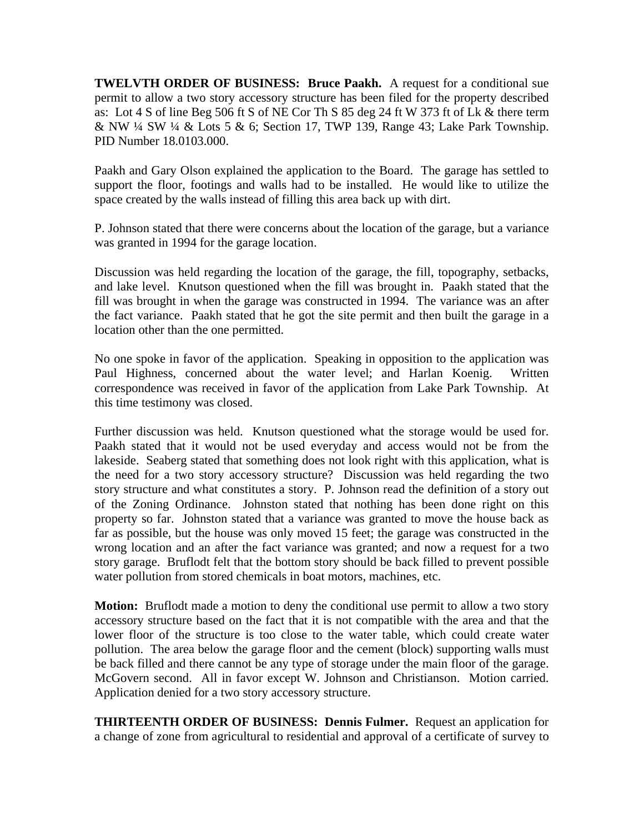**TWELVTH ORDER OF BUSINESS: Bruce Paakh.** A request for a conditional sue permit to allow a two story accessory structure has been filed for the property described as: Lot 4 S of line Beg 506 ft S of NE Cor Th S 85 deg 24 ft W 373 ft of Lk & there term & NW ¼ SW ¼ & Lots 5 & 6; Section 17, TWP 139, Range 43; Lake Park Township. PID Number 18.0103.000.

Paakh and Gary Olson explained the application to the Board. The garage has settled to support the floor, footings and walls had to be installed. He would like to utilize the space created by the walls instead of filling this area back up with dirt.

P. Johnson stated that there were concerns about the location of the garage, but a variance was granted in 1994 for the garage location.

Discussion was held regarding the location of the garage, the fill, topography, setbacks, and lake level. Knutson questioned when the fill was brought in. Paakh stated that the fill was brought in when the garage was constructed in 1994. The variance was an after the fact variance. Paakh stated that he got the site permit and then built the garage in a location other than the one permitted.

No one spoke in favor of the application. Speaking in opposition to the application was Paul Highness, concerned about the water level; and Harlan Koenig. Written correspondence was received in favor of the application from Lake Park Township. At this time testimony was closed.

Further discussion was held. Knutson questioned what the storage would be used for. Paakh stated that it would not be used everyday and access would not be from the lakeside. Seaberg stated that something does not look right with this application, what is the need for a two story accessory structure? Discussion was held regarding the two story structure and what constitutes a story. P. Johnson read the definition of a story out of the Zoning Ordinance. Johnston stated that nothing has been done right on this property so far. Johnston stated that a variance was granted to move the house back as far as possible, but the house was only moved 15 feet; the garage was constructed in the wrong location and an after the fact variance was granted; and now a request for a two story garage. Bruflodt felt that the bottom story should be back filled to prevent possible water pollution from stored chemicals in boat motors, machines, etc.

**Motion:** Bruflodt made a motion to deny the conditional use permit to allow a two story accessory structure based on the fact that it is not compatible with the area and that the lower floor of the structure is too close to the water table, which could create water pollution. The area below the garage floor and the cement (block) supporting walls must be back filled and there cannot be any type of storage under the main floor of the garage. McGovern second. All in favor except W. Johnson and Christianson. Motion carried. Application denied for a two story accessory structure.

**THIRTEENTH ORDER OF BUSINESS: Dennis Fulmer.** Request an application for a change of zone from agricultural to residential and approval of a certificate of survey to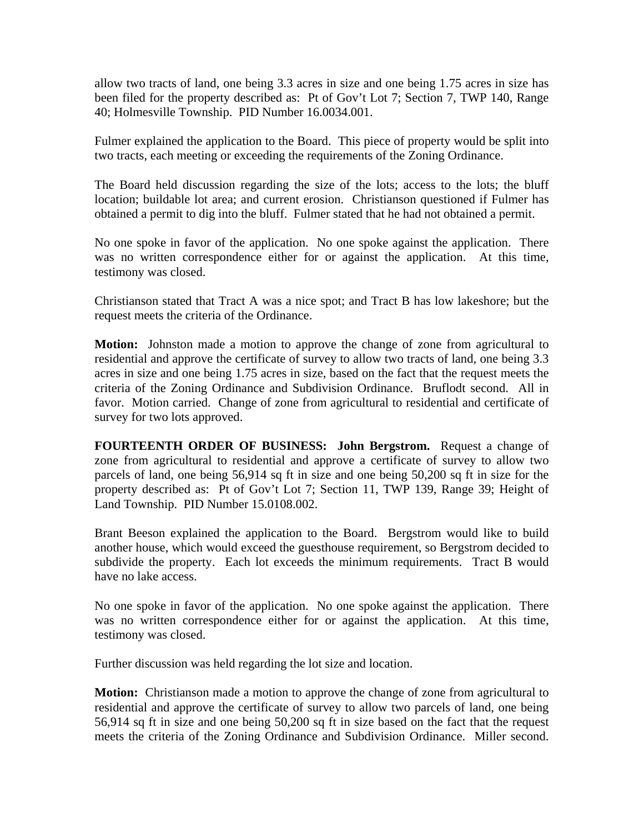allow two tracts of land, one being 3.3 acres in size and one being 1.75 acres in size has been filed for the property described as: Pt of Gov't Lot 7; Section 7, TWP 140, Range 40; Holmesville Township. PID Number 16.0034.001.

Fulmer explained the application to the Board. This piece of property would be split into two tracts, each meeting or exceeding the requirements of the Zoning Ordinance.

The Board held discussion regarding the size of the lots; access to the lots; the bluff location; buildable lot area; and current erosion. Christianson questioned if Fulmer has obtained a permit to dig into the bluff. Fulmer stated that he had not obtained a permit.

No one spoke in favor of the application. No one spoke against the application. There was no written correspondence either for or against the application. At this time, testimony was closed.

Christianson stated that Tract A was a nice spot; and Tract B has low lakeshore; but the request meets the criteria of the Ordinance.

**Motion:** Johnston made a motion to approve the change of zone from agricultural to residential and approve the certificate of survey to allow two tracts of land, one being 3.3 acres in size and one being 1.75 acres in size, based on the fact that the request meets the criteria of the Zoning Ordinance and Subdivision Ordinance. Bruflodt second. All in favor. Motion carried. Change of zone from agricultural to residential and certificate of survey for two lots approved.

**FOURTEENTH ORDER OF BUSINESS: John Bergstrom.** Request a change of zone from agricultural to residential and approve a certificate of survey to allow two parcels of land, one being 56,914 sq ft in size and one being 50,200 sq ft in size for the property described as: Pt of Gov't Lot 7; Section 11, TWP 139, Range 39; Height of Land Township. PID Number 15.0108.002.

Brant Beeson explained the application to the Board. Bergstrom would like to build another house, which would exceed the guesthouse requirement, so Bergstrom decided to subdivide the property. Each lot exceeds the minimum requirements. Tract B would have no lake access.

No one spoke in favor of the application. No one spoke against the application. There was no written correspondence either for or against the application. At this time, testimony was closed.

Further discussion was held regarding the lot size and location.

**Motion:** Christianson made a motion to approve the change of zone from agricultural to residential and approve the certificate of survey to allow two parcels of land, one being 56,914 sq ft in size and one being 50,200 sq ft in size based on the fact that the request meets the criteria of the Zoning Ordinance and Subdivision Ordinance. Miller second.